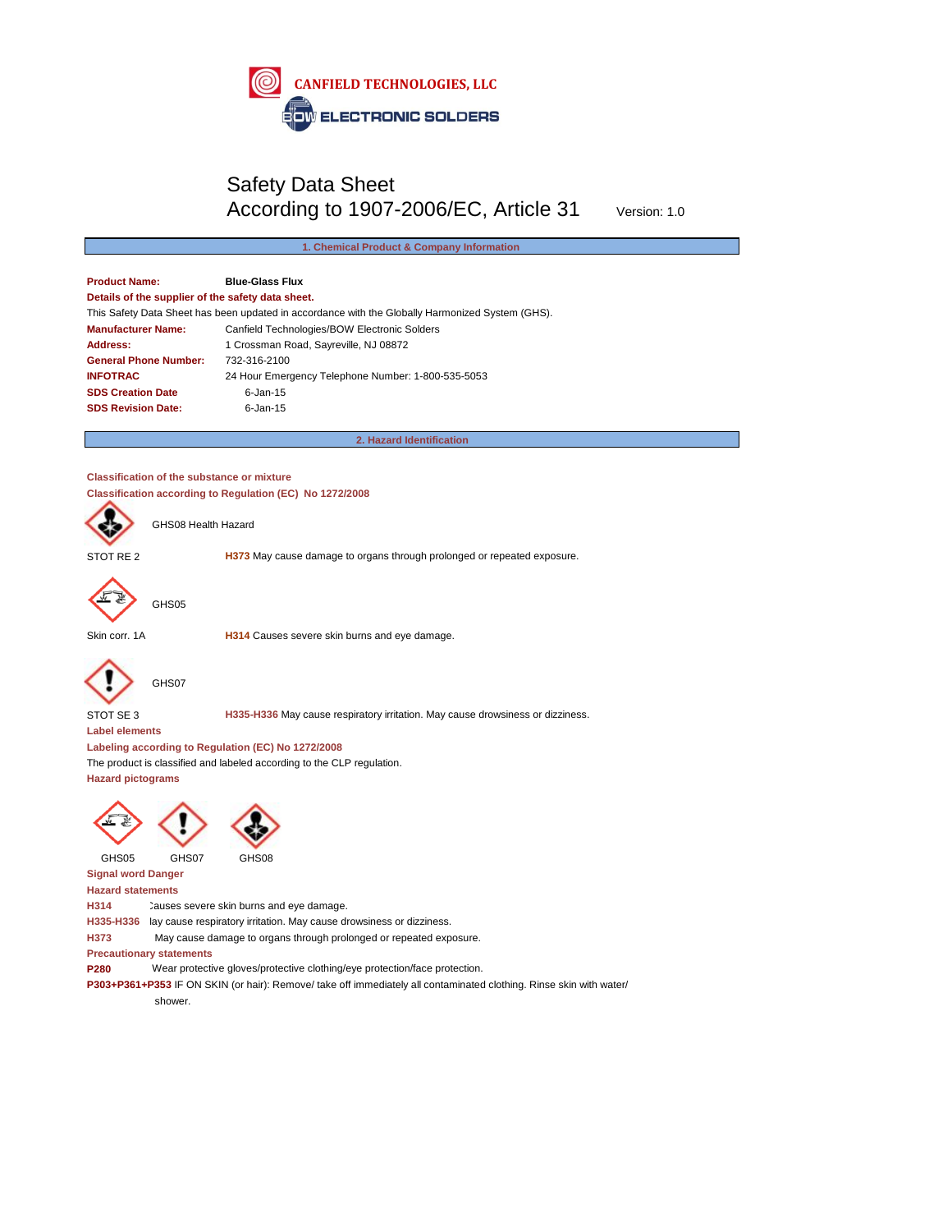

## Safety Data Sheet According to 1907-2006/EC, Article 31 Version: 1.0

## **1. Chemical Product & Company Information**

**Product Name: Blue-Glass Flux Details of the supplier of the safety data sheet.** This Safety Data Sheet has been updated in accordance with the Globally Harmonized System (GHS). **Manufacturer Name:** Canfield Technologies/BOW Electronic Solders Address: 1 Crossman Road, Sayreville, NJ 08872 **General Phone Number:** 732-316-2100 **INFOTRAC** 24 Hour Emergency Telephone Number: 1-800-535-5053 **SDS Creation Date** 6-Jan-15 **SDS Revision Date:** [6-Jan-15](http://www.solders.com/)

**2. Hazard Identification**

## **Classification of the substance or mixture Classification according to Regulation (EC) No 1272/2008**



GHS08 Health Hazard

STOT RE 2 **H373** May cause damage to organs through prolonged or repeated exposure.



GHS05

Skin corr. 1A **H314** Causes severe skin burns and eye damage.



GHS07

STOT SE 3 **H335-H336** May cause respiratory irritation. May cause drowsiness or dizziness.

**Label elements**

**Labeling according to Regulation (EC) No 1272/2008**

The product is classified and labeled according to the CLP regulation.

**Hazard pictograms**





GHS05 GHS07 GHS08



**Signal word Danger**

**Hazard statements**

H314 Causes severe skin burns and eye damage.

H335-H336 lay cause respiratory irritation. May cause drowsiness or dizziness.

**H373** May cause damage to organs through prolonged or repeated exposure.

**Precautionary statements**

**P280** Wear protective gloves/protective clothing/eye protection/face protection.

**P303+P361+P353** IF ON SKIN (or hair): Remove/ take off immediately all contaminated clothing. Rinse skin with water/

shower.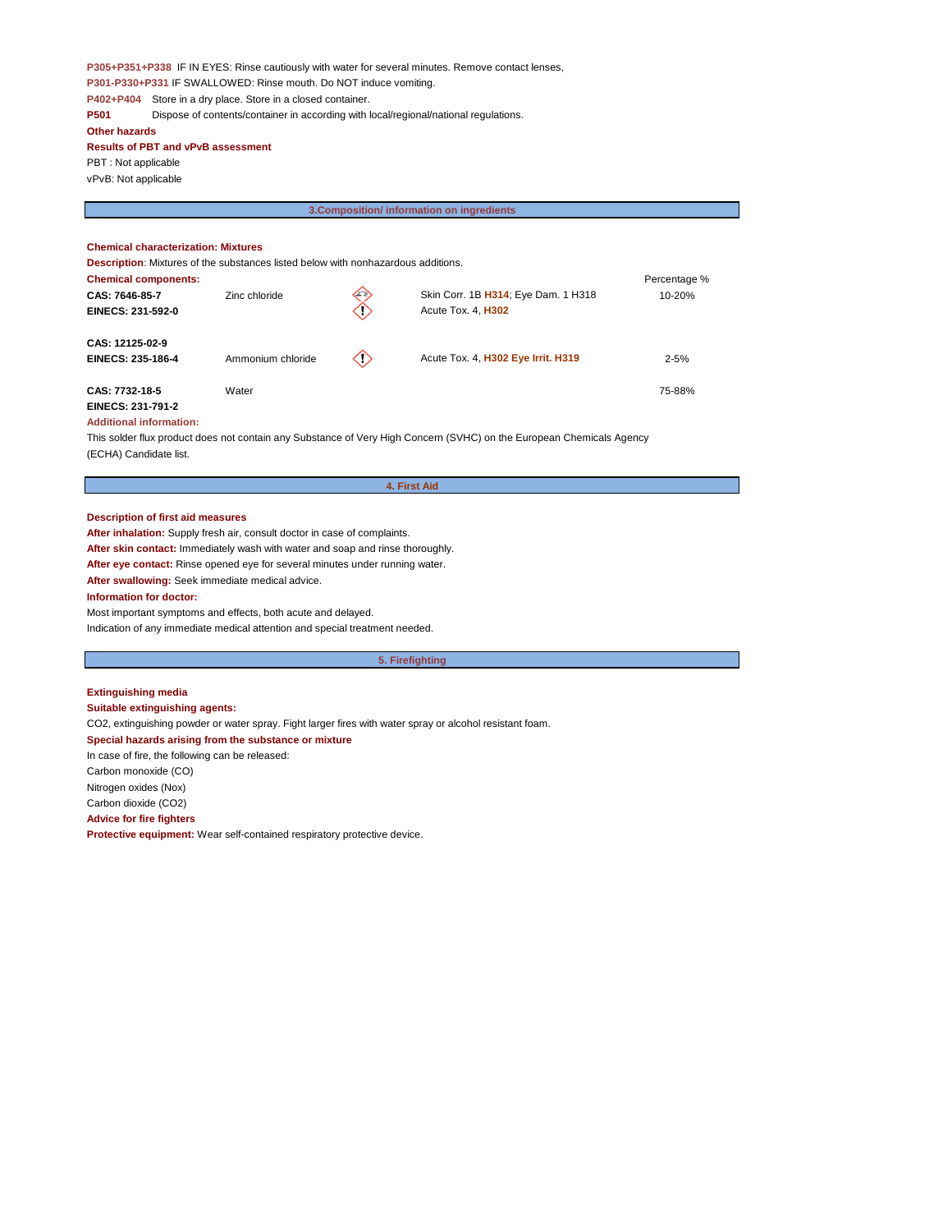**P305+P351+P338** IF IN EYES: Rinse cautiously with water for several minutes. Remove contact lenses, **P301-P330+P331** IF SWALLOWED: Rinse mouth. Do NOT induce vomiting. **P402+P404** Store in a dry place. Store in a closed container.

**P501** Dispose of contents/container in according with local/regional/national regulations.

**Other hazards Results of PBT and vPvB assessment** 

PBT : Not applicable vPvB: Not applicable

**3.Composition/ information on ingredients**

## **Chemical characterization: Mixtures**

**Description**: Mixtures of the substances listed below with nonhazardous additions.

| <b>Chemical components:</b> |                   |    |                                     | Percentage % |
|-----------------------------|-------------------|----|-------------------------------------|--------------|
| CAS: 7646-85-7              | Zinc chloride     | ⇐  | Skin Corr. 1B H314; Eye Dam. 1 H318 | $10 - 20%$   |
| <b>EINECS: 231-592-0</b>    |                   | 02 | Acute Tox. 4, H302                  |              |
| CAS: 12125-02-9             |                   |    |                                     |              |
| <b>EINECS: 235-186-4</b>    | Ammonium chloride | ◇  | Acute Tox. 4, H302 Eye Irrit. H319  | $2 - 5%$     |
| CAS: 7732-18-5              | Water             |    |                                     | 75-88%       |
| <b>EINECS: 231-791-2</b>    |                   |    |                                     |              |

#### **Additional information:**

This solder flux product does not contain any Substance of Very High Concern (SVHC) on the European Chemicals Agency (ECHA) Candidate list.

**Description of first aid measures**

**After inhalation:** Supply fresh air, consult doctor in case of complaints.

**After skin contact:** Immediately wash with water and soap and rinse thoroughly.

**After eye contact:** Rinse opened eye for several minutes under running water.

**After swallowing:** Seek immediate medical advice.

## **Information for doctor:**

Most important symptoms and effects, both acute and delayed. Indication of any immediate medical attention and special treatment needed.

**5. Firefighting**

**4. First Aid** 

## **Extinguishing media Suitable extinguishing agents:** CO2, extinguishing powder or water spray. Fight larger fires with water spray or alcohol resistant foam. **Special hazards arising from the substance or mixture** In case of fire, the following can be released: Carbon monoxide (CO) Nitrogen oxides (Nox) Carbon dioxide (CO2) **Advice for fire fighters Protective equipment:** Wear self-contained respiratory protective device.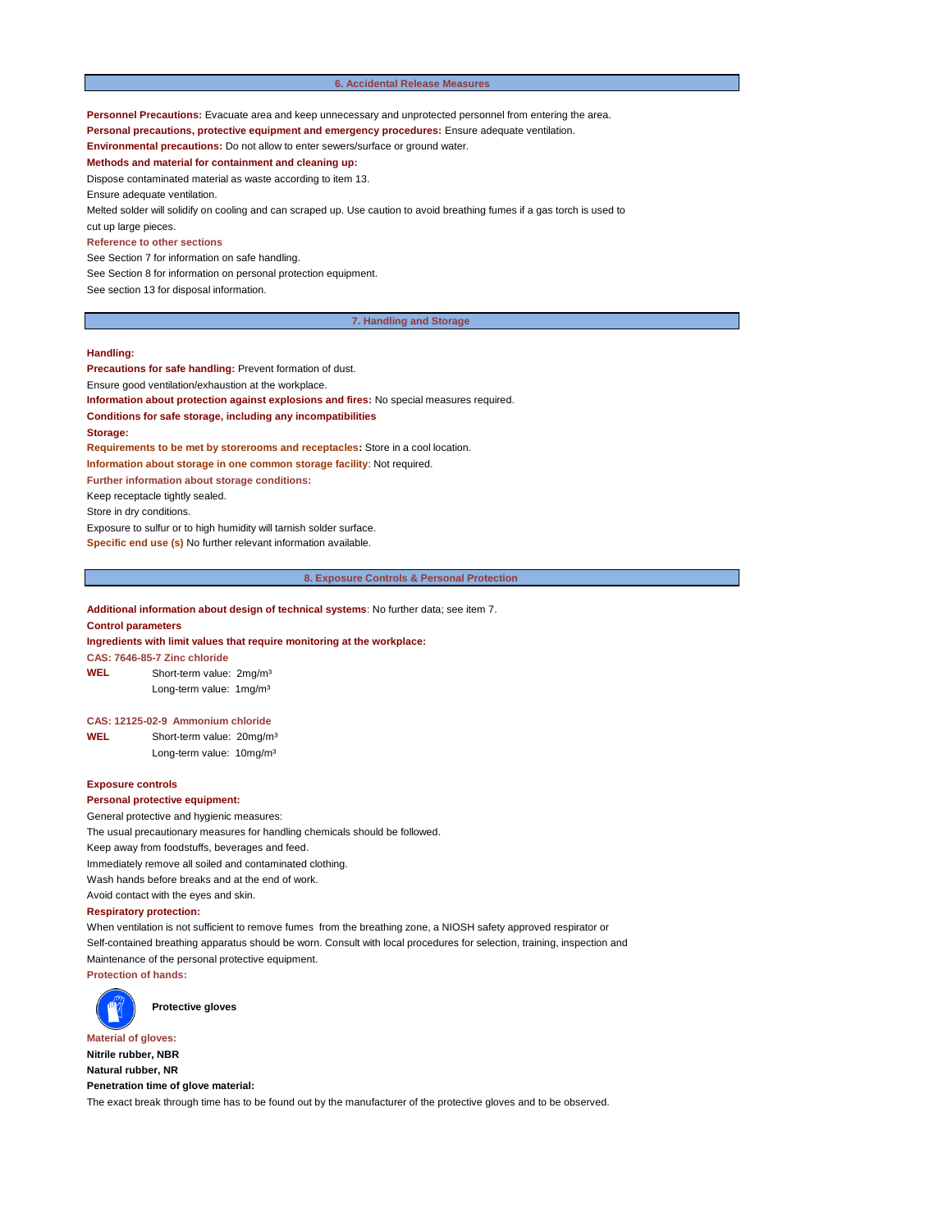#### **6. Accidental Release Measures**

**Personnel Precautions:** Evacuate area and keep unnecessary and unprotected personnel from entering the area.

**Personal precautions, protective equipment and emergency procedures:** Ensure adequate ventilation.

**Environmental precautions:** Do not allow to enter sewers/surface or ground water.

**Methods and material for containment and cleaning up:** 

Dispose contaminated material as waste according to item 13.

Ensure adequate ventilation.

Melted solder will solidify on cooling and can scraped up. Use caution to avoid breathing fumes if a gas torch is used to cut up large pieces.

## **Reference to other sections**

See Section 7 for information on safe handling.

See Section 8 for information on personal protection equipment.

See section 13 for disposal information.

#### **7. Handling and Storage**

#### **Handling:**

**Precautions for safe handling:** Prevent formation of dust.

Ensure good ventilation/exhaustion at the workplace.

**Information about protection against explosions and fires:** No special measures required.

**Conditions for safe storage, including any incompatibilities**

#### **Storage:**

**Requirements to be met by storerooms and receptacles:** Store in a cool location. **Information about storage in one common storage facility**: Not required. **Further information about storage conditions:** 

Keep receptacle tightly sealed.

Store in dry conditions.

Exposure to sulfur or to high humidity will tarnish solder surface.

**Specific end use (s)** No further relevant information available.

**8. Exposure Controls & Personal Protection** 

## **Additional information about design of technical systems**: No further data; see item 7.

**Control parameters**

**Ingredients with limit values that require monitoring at the workplace:**

**CAS: 7646-85-7 Zinc chloride WEL** Short-term value: 2mg/m³

Long-term value: 1mg/m<sup>3</sup>

#### **CAS: 12125-02-9 Ammonium chloride**

**WEL** Short-term value: 20mg/m³ Long-term value: 10mg/m³

## **Exposure controls**

#### **Personal protective equipment:**

General protective and hygienic measures: The usual precautionary measures for handling chemicals should be followed. Keep away from foodstuffs, beverages and feed. Immediately remove all soiled and contaminated clothing. Wash hands before breaks and at the end of work. Avoid contact with the eyes and skin.

#### **Respiratory protection:**

When ventilation is not sufficient to remove fumes from the breathing zone, a NIOSH safety approved respirator or Self-contained breathing apparatus should be worn. Consult with local procedures for selection, training, inspection and Maintenance of the personal protective equipment. **Protection of hands:**



**Protective gloves**

**Material of gloves: Nitrile rubber, NBR Natural rubber, NR Penetration time of glove material:** The exact break through time has to be found out by the manufacturer of the protective gloves and to be observed.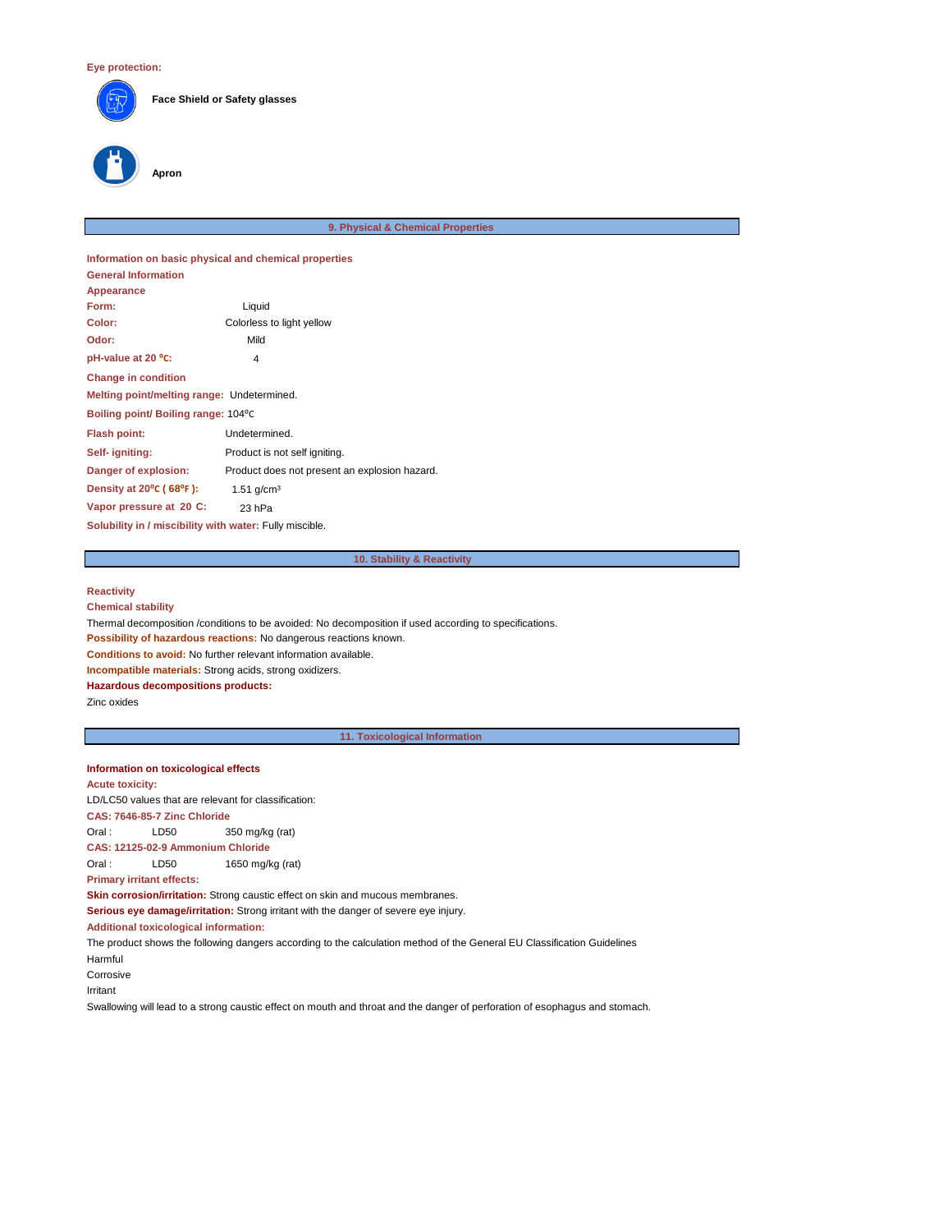

**Face Shield or Safety glasses**

# **Apron**

#### **9. Physical & Chemical Properties**

**Information on basic physical and chemical properties General Information Appearance Form:** Liquid **Color:** Colorless to light yellow **Odor:** Mild **pH-value at 20 °C:** 4 **Change in condition Melting point/melting range:** Undetermined. **Boiling point/ Boiling range:** 104⁰C **Flash point:** Undetermined. **Self- igniting:** Product is not self igniting. **Danger of explosion:** Product does not present an explosion hazard. **Density at 20<sup>°</sup>C (68<sup>°</sup>F): 1.51 g/cm<sup>3</sup> Vapor pressure at 20 C:** 23 hPa **Solubility in / miscibility with water:** Fully miscible.

## **10. Stability & Reactivity**

## **Reactivity**

**Chemical stability**

Thermal decomposition /conditions to be avoided: No decomposition if used according to specifications.

**Possibility of hazardous reactions:** No dangerous reactions known.

**Conditions to avoid:** No further relevant information available.

**Incompatible materials:** Strong acids, strong oxidizers.

**Hazardous decompositions products:** 

Zinc oxides

**11. Toxicological Information** 

## **Information on toxicological effects**

**Acute toxicity:**

LD/LC50 values that are relevant for classification:

**CAS: 7646-85-7 Zinc Chloride**

Oral : LD50 350 mg/kg (rat)

**CAS: 12125-02-9 Ammonium Chloride**

Oral : LD50 1650 mg/kg (rat)

**Primary irritant effects:**

**Skin corrosion/irritation:** Strong caustic effect on skin and mucous membranes.

**Serious eye damage/irritation:** Strong irritant with the danger of severe eye injury.

**Additional toxicological information:**

The product shows the following dangers according to the calculation method of the General EU Classification Guidelines Harmful

Corrosive

Irritant

Swallowing will lead to a strong caustic effect on mouth and throat and the danger of perforation of esophagus and stomach.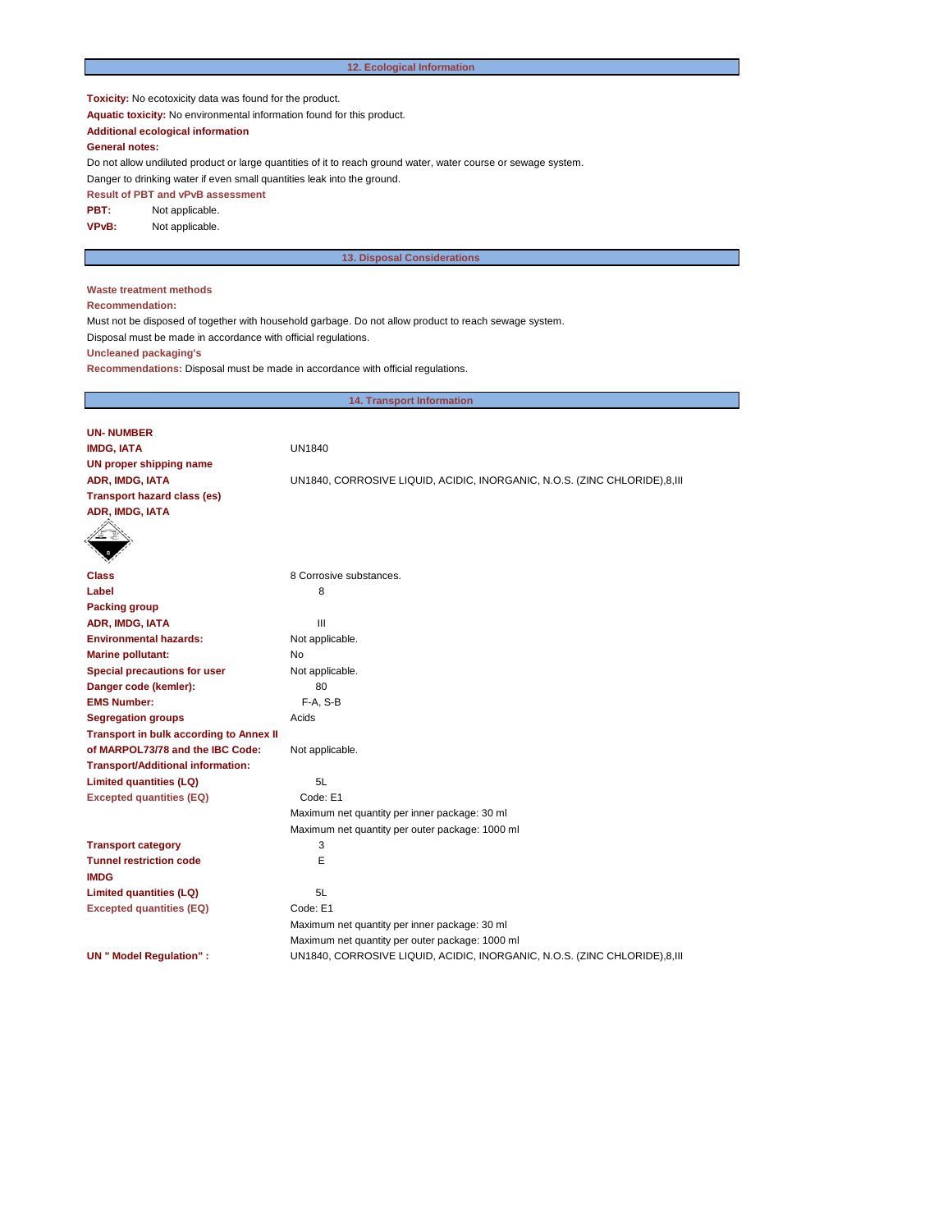## **12. Ecological Information**

**Toxicity:** No ecotoxicity data was found for the product.

**Aquatic toxicity:** No environmental information found for this product.

**Additional ecological information**

## **General notes:**

Do not allow undiluted product or large quantities of it to reach ground water, water course or sewage system.

Danger to drinking water if even small quantities leak into the ground.

**Result of PBT and vPvB assessment**

**PBT:** Not applicable.

**VPvB:** Not applicable.

## **13. Disposal Considerations**

## **Waste treatment methods**

**Recommendation:**

Must not be disposed of together with household garbage. Do not allow product to reach sewage system.

Disposal must be made in accordance with official regulations.

**Uncleaned packaging's**

**Recommendations:** Disposal must be made in accordance with official regulations.

| <b>14. Transport Information</b>               |                                                                           |  |  |  |
|------------------------------------------------|---------------------------------------------------------------------------|--|--|--|
|                                                |                                                                           |  |  |  |
| <b>UN-NUMBER</b>                               |                                                                           |  |  |  |
| <b>IMDG, IATA</b>                              | <b>UN1840</b>                                                             |  |  |  |
| <b>UN proper shipping name</b>                 |                                                                           |  |  |  |
| ADR, IMDG, IATA                                | UN1840, CORROSIVE LIQUID, ACIDIC, INORGANIC, N.O.S. (ZINC CHLORIDE),8,111 |  |  |  |
| <b>Transport hazard class (es)</b>             |                                                                           |  |  |  |
| ADR, IMDG, IATA                                |                                                                           |  |  |  |
|                                                |                                                                           |  |  |  |
| <b>Class</b>                                   | 8 Corrosive substances.                                                   |  |  |  |
| Label                                          | 8                                                                         |  |  |  |
| <b>Packing group</b>                           |                                                                           |  |  |  |
| ADR, IMDG, IATA                                | Ш                                                                         |  |  |  |
| <b>Environmental hazards:</b>                  | Not applicable.                                                           |  |  |  |
| <b>Marine pollutant:</b>                       | No                                                                        |  |  |  |
| <b>Special precautions for user</b>            | Not applicable.                                                           |  |  |  |
| Danger code (kemler):                          | 80                                                                        |  |  |  |
| <b>EMS Number:</b>                             | F-A, S-B                                                                  |  |  |  |
| <b>Segregation groups</b>                      | Acids                                                                     |  |  |  |
| <b>Transport in bulk according to Annex II</b> |                                                                           |  |  |  |
| of MARPOL73/78 and the IBC Code:               | Not applicable.                                                           |  |  |  |
| <b>Transport/Additional information:</b>       |                                                                           |  |  |  |
| <b>Limited quantities (LQ)</b>                 | 5L                                                                        |  |  |  |
| <b>Excepted quantities (EQ)</b>                | Code: E1                                                                  |  |  |  |
|                                                | Maximum net quantity per inner package: 30 ml                             |  |  |  |
|                                                | Maximum net quantity per outer package: 1000 ml                           |  |  |  |
| <b>Transport category</b>                      | 3                                                                         |  |  |  |
| <b>Tunnel restriction code</b>                 | E                                                                         |  |  |  |
| <b>IMDG</b>                                    |                                                                           |  |  |  |
| <b>Limited quantities (LQ)</b>                 | 5L                                                                        |  |  |  |
| <b>Excepted quantities (EQ)</b>                | Code: E1                                                                  |  |  |  |
|                                                | Maximum net quantity per inner package: 30 ml                             |  |  |  |
|                                                | Maximum net quantity per outer package: 1000 ml                           |  |  |  |
| <b>UN</b> " Model Regulation" :                | UN1840, CORROSIVE LIQUID, ACIDIC, INORGANIC, N.O.S. (ZINC CHLORIDE),8,III |  |  |  |